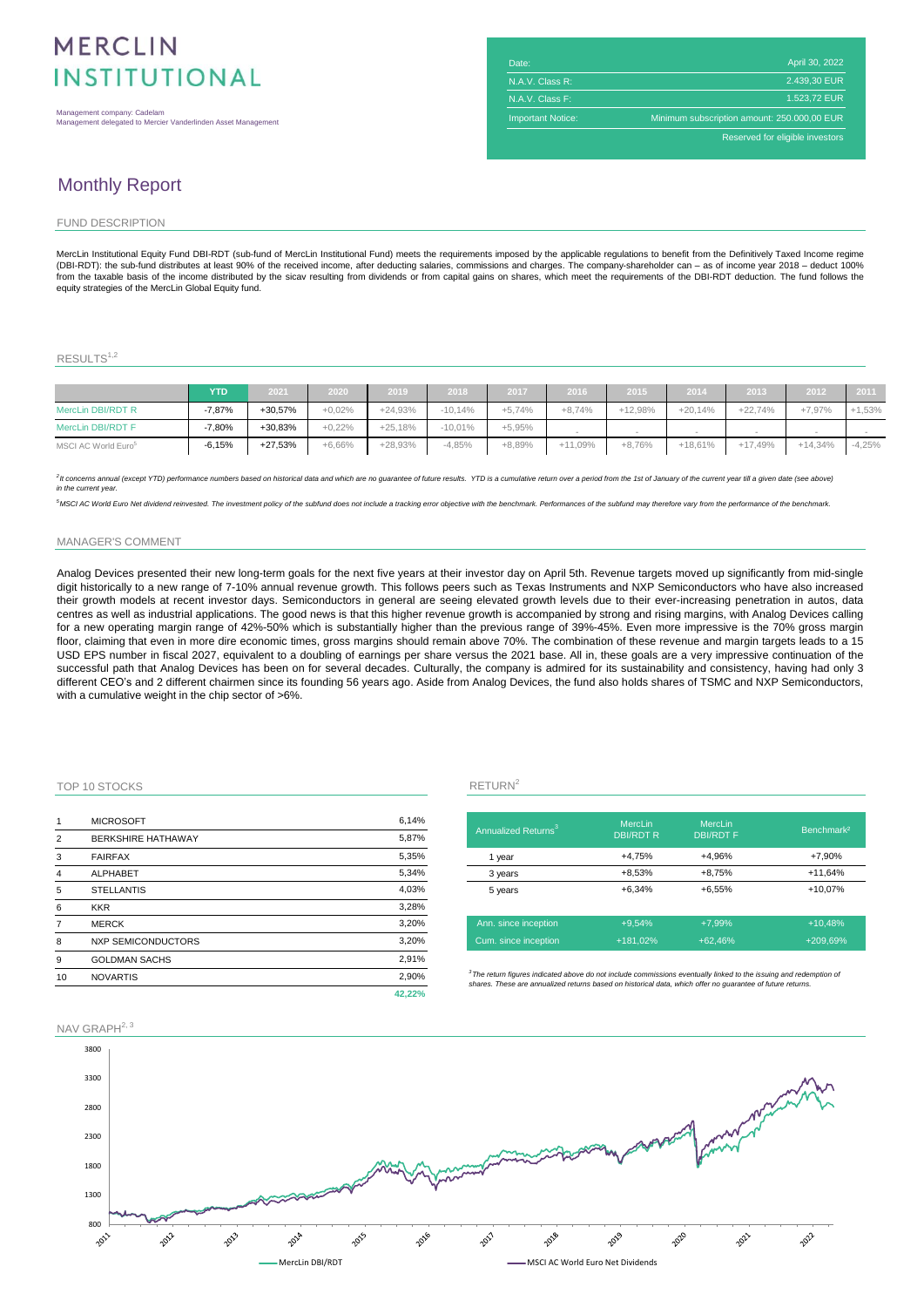# **MFRCLIN INSTITUTIONAL**

Management company: Cadelam Management delegated to Mercier Vanderlinden Asset Management

| Date:                    | April 30, 2022                              |
|--------------------------|---------------------------------------------|
| N.A.V. Class R:          | 2.439.30 EUR                                |
| N.A.V. Class F:          | 1.523.72 EUR                                |
| <b>Important Notice:</b> | Minimum subscription amount: 250.000,00 EUR |
|                          | Reserved for eligible investors             |

## Monthly Report

#### FUND DESCRIPTION

MercLin Institutional Equity Fund DBI-RDT (sub-fund of MercLin Institutional Fund) meets the requirements imposed by the applicable regulations to benefit from the Definitively Taxed Income regime (DBI-RDT): the sub-fund distributes at least 90% of the received income, after deducting salaries, commissions and charges. The company-shareholder can – as of income year 2018 – deduct 100%<br>from the taxable basis of the i equity strategies of the MercLin Global Equity fund.

### RESULTS<sup>1,2</sup>

|                                 | <b>YTD</b> | 2021      | 2020     | 2019      | 2018      | 2017     | 2016      | 2015      | 2014      | 2013      | 2012      | 2011     |
|---------------------------------|------------|-----------|----------|-----------|-----------|----------|-----------|-----------|-----------|-----------|-----------|----------|
| MercLin DBI/RDT R               | $-7.87%$   | +30.57%   | $+0.02%$ | $+24.93%$ | $-10.14%$ | $+5.74%$ | $+8.74%$  | $+12.98%$ | $+20.14%$ | $+22.74%$ | $+7.97%$  | $+1,53%$ |
| MercLin DBI/RDT F               | $-7.80%$   | +30.83%   | $+0.22%$ | $+25.18%$ | $-10.01%$ | $+5.95%$ |           |           |           |           |           |          |
| MSCI AC World Euro <sup>5</sup> | $-6.15%$   | $+27.53%$ | $+6.66%$ | $+28.93%$ | $-4.85%$  | $+8.89%$ | $+11.09%$ | $+8.76%$  | $+18.61%$ | $+17.49%$ | $+14.34%$ | $-4.25%$ |

2 It concerns annual (except YTD) performance numbers based on historical data and which are no guarantee of future results. YTD is a cumulative return over a period from the 1st of January of the current year till a given *in the current yea* 

<sup>5</sup>MSCI AC World Euro Net dividend reinvested. The investment policy of the subfund does not include a tracking error objective with the benchmark. Performances of the subfund may therefore vary from the performance of the

#### MANAGER'S COMMENT

Analog Devices presented their new long-term goals for the next five years at their investor day on April 5th. Revenue targets moved up significantly from mid-single digit historically to a new range of 7-10% annual revenue growth. This follows peers such as Texas Instruments and NXP Semiconductors who have also increased their growth models at recent investor days. Semiconductors in general are seeing elevated growth levels due to their ever-increasing penetration in autos, data centres as well as industrial applications. The good news is that this higher revenue growth is accompanied by strong and rising margins, with Analog Devices calling for a new operating margin range of 42%-50% which is substantially higher than the previous range of 39%-45%. Even more impressive is the 70% gross margin floor, claiming that even in more dire economic times, gross margins should remain above 70%. The combination of these revenue and margin targets leads to a 15 USD EPS number in fiscal 2027, equivalent to a doubling of earnings per share versus the 2021 base. All in, these goals are a very impressive continuation of the successful path that Analog Devices has been on for several decades. Culturally, the company is admired for its sustainability and consistency, having had only 3 different CEO's and 2 different chairmen since its founding 56 years ago. Aside from Analog Devices, the fund also holds shares of TSMC and NXP Semiconductors, with a cumulative weight in the chip sector of >6%.

### TOP 10 STOCKS RETURN

| 1              | <b>MICROSOFT</b>          | 6,14%  |                                        |  |
|----------------|---------------------------|--------|----------------------------------------|--|
| $\overline{2}$ | <b>BERKSHIRE HATHAWAY</b> | 5,87%  | Annualized                             |  |
| 3              | <b>FAIRFAX</b>            | 5,35%  | 1 year                                 |  |
| 4              | <b>ALPHABET</b>           | 5,34%  | 3 years                                |  |
| 5              | <b>STELLANTIS</b>         | 4,03%  | 5 years                                |  |
| 6              | <b>KKR</b>                | 3,28%  |                                        |  |
| 7              | <b>MERCK</b>              | 3,20%  | Ann. since                             |  |
| 8              | <b>NXP SEMICONDUCTORS</b> | 3.20%  | Cum. since                             |  |
| 9              | <b>GOLDMAN SACHS</b>      | 2,91%  |                                        |  |
| 10             | <b>NOVARTIS</b>           | 2,90%  | $3$ The return figure<br>shares, These |  |
|                |                           | 42.22% |                                        |  |

| Annualized Returns <sup>3</sup> | <b>MercLin</b><br><b>DBI/RDT R</b> | <b>MercLin</b><br><b>DBI/RDTF</b> | Benchmark <sup>2</sup> |
|---------------------------------|------------------------------------|-----------------------------------|------------------------|
| 1 year                          | +4,75%                             | +4.96%                            | $+7,90%$               |
| 3 years                         | $+8,53%$                           | $+8.75%$                          | $+11,64%$              |
| 5 years                         | $+6.34%$                           | $+6.55%$                          | +10.07%                |
| Ann. since inception            | $+9.54%$                           | $+7.99%$                          | $+10,48%$              |
| Cum. since inception            | +181.02%                           | $+62.46%$                         | $+209,69%$             |

<sup>3</sup>The return figures indicated above do not include commissions eventually linked to the issuing and redemption of<br>shares. These are annualized returns based on historical data, which offer no guarantee of future returns.